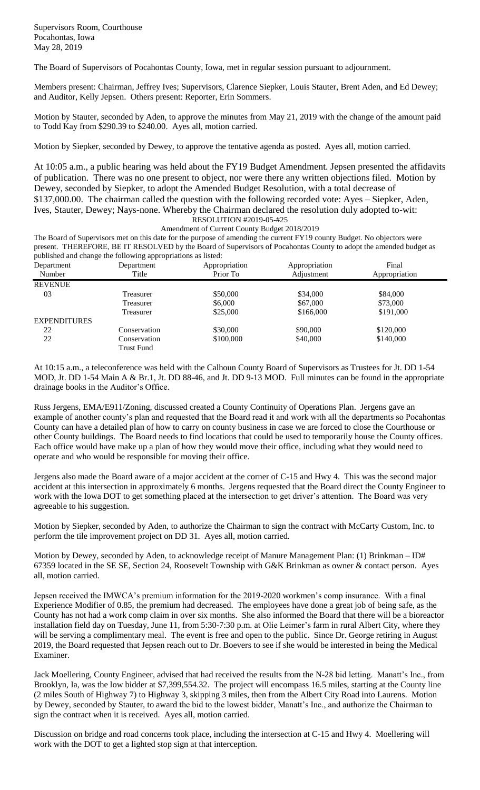The Board of Supervisors of Pocahontas County, Iowa, met in regular session pursuant to adjournment.

Members present: Chairman, Jeffrey Ives; Supervisors, Clarence Siepker, Louis Stauter, Brent Aden, and Ed Dewey; and Auditor, Kelly Jepsen. Others present: Reporter, Erin Sommers.

Motion by Stauter, seconded by Aden, to approve the minutes from May 21, 2019 with the change of the amount paid to Todd Kay from \$290.39 to \$240.00. Ayes all, motion carried.

Motion by Siepker, seconded by Dewey, to approve the tentative agenda as posted. Ayes all, motion carried.

At 10:05 a.m., a public hearing was held about the FY19 Budget Amendment. Jepsen presented the affidavits of publication. There was no one present to object, nor were there any written objections filed. Motion by Dewey, seconded by Siepker, to adopt the Amended Budget Resolution, with a total decrease of \$137,000.00. The chairman called the question with the following recorded vote: Ayes – Siepker, Aden, Ives, Stauter, Dewey; Nays-none. Whereby the Chairman declared the resolution duly adopted to-wit: RESOLUTION #2019-05-#25

Amendment of Current County Budget 2018/2019

The Board of Supervisors met on this date for the purpose of amending the current FY19 county Budget. No objectors were present. THEREFORE, BE IT RESOLVED by the Board of Supervisors of Pocahontas County to adopt the amended budget as published and change the following appropriations as listed:

| ັ<br>Department     | .<br>Department   | Appropriation | Appropriation | Final         |  |
|---------------------|-------------------|---------------|---------------|---------------|--|
| Number              | Title             | Prior To      | Adjustment    | Appropriation |  |
| <b>REVENUE</b>      |                   |               |               |               |  |
| 03                  | Treasurer         | \$50,000      | \$34,000      | \$84,000      |  |
|                     | Treasurer         | \$6,000       | \$67,000      | \$73,000      |  |
|                     | Treasurer         | \$25,000      | \$166,000     | \$191,000     |  |
| <b>EXPENDITURES</b> |                   |               |               |               |  |
| 22                  | Conservation      | \$30,000      | \$90,000      | \$120,000     |  |
| 22                  | Conservation      | \$100,000     | \$40,000      | \$140,000     |  |
|                     | <b>Trust Fund</b> |               |               |               |  |

At 10:15 a.m., a teleconference was held with the Calhoun County Board of Supervisors as Trustees for Jt. DD 1-54 MOD, Jt. DD 1-54 Main A & Br.1, Jt. DD 88-46, and Jt. DD 9-13 MOD. Full minutes can be found in the appropriate drainage books in the Auditor's Office.

Russ Jergens, EMA/E911/Zoning, discussed created a County Continuity of Operations Plan. Jergens gave an example of another county's plan and requested that the Board read it and work with all the departments so Pocahontas County can have a detailed plan of how to carry on county business in case we are forced to close the Courthouse or other County buildings. The Board needs to find locations that could be used to temporarily house the County offices. Each office would have make up a plan of how they would move their office, including what they would need to operate and who would be responsible for moving their office.

Jergens also made the Board aware of a major accident at the corner of C-15 and Hwy 4. This was the second major accident at this intersection in approximately 6 months. Jergens requested that the Board direct the County Engineer to work with the Iowa DOT to get something placed at the intersection to get driver's attention. The Board was very agreeable to his suggestion.

Motion by Siepker, seconded by Aden, to authorize the Chairman to sign the contract with McCarty Custom, Inc. to perform the tile improvement project on DD 31. Ayes all, motion carried.

Motion by Dewey, seconded by Aden, to acknowledge receipt of Manure Management Plan: (1) Brinkman – ID# 67359 located in the SE SE, Section 24, Roosevelt Township with G&K Brinkman as owner & contact person. Ayes all, motion carried.

Jepsen received the IMWCA's premium information for the 2019-2020 workmen's comp insurance. With a final Experience Modifier of 0.85, the premium had decreased. The employees have done a great job of being safe, as the County has not had a work comp claim in over six months. She also informed the Board that there will be a bioreactor installation field day on Tuesday, June 11, from 5:30-7:30 p.m. at Olie Leimer's farm in rural Albert City, where they will be serving a complimentary meal. The event is free and open to the public. Since Dr. George retiring in August 2019, the Board requested that Jepsen reach out to Dr. Boevers to see if she would be interested in being the Medical Examiner.

Jack Moellering, County Engineer, advised that had received the results from the N-28 bid letting. Manatt's Inc., from Brooklyn, Ia, was the low bidder at \$7,399,554.32. The project will encompass 16.5 miles, starting at the County line (2 miles South of Highway 7) to Highway 3, skipping 3 miles, then from the Albert City Road into Laurens. Motion by Dewey, seconded by Stauter, to award the bid to the lowest bidder, Manatt's Inc., and authorize the Chairman to sign the contract when it is received. Ayes all, motion carried.

Discussion on bridge and road concerns took place, including the intersection at C-15 and Hwy 4. Moellering will work with the DOT to get a lighted stop sign at that interception.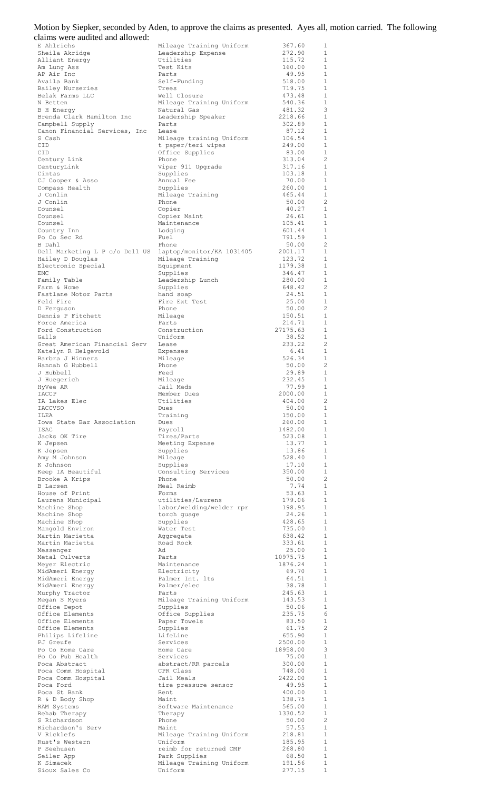| Motion by Siepker, seconded by Aden, to approve the claims as presented. Ayes all, motion carried. The following |  |  |
|------------------------------------------------------------------------------------------------------------------|--|--|
| claims were audited and allowed:                                                                                 |  |  |

| E Ahlrichs<br>Sheila Akridge                                                 | Mileage Training Uniform<br>Leadership Expense | 367.60<br>272.90    | 1<br>1                       |
|------------------------------------------------------------------------------|------------------------------------------------|---------------------|------------------------------|
| Alliant Energy                                                               | Utilities                                      | 115.72              | $\mathbf{1}$                 |
| Am Lung Ass                                                                  | Test Kits                                      | 160.00              | 1                            |
| AP Air Inc<br>Availa Bank                                                    | Parts<br>Self-Funding                          | 49.95<br>518.00     | $\mathbf{1}$<br>1            |
| Bailey Nurseries                                                             | Trees                                          | 719.75              | $\mathbf{1}$                 |
| Belak Farms LLC<br>N Betten                                                  | Well Closure<br>Mileage Training Uniform       | 473.48<br>540.36    | 1<br>$\mathbf{1}$            |
| B H Energy                                                                   | Natural Gas                                    | 481.32              | 3                            |
| Brenda Clark Hamilton Inc                                                    | Leadership Speaker                             | 2218.66             | $\mathbf{1}$                 |
| Campbell Supply<br>Canon Financial Services, Inc                             | Parts<br>Lease                                 | 302.89<br>87.12     | $\mathbf{1}$<br>$\mathbf{1}$ |
| S Cash                                                                       | Mileage training Uniform                       | 106.54              | $\mathbf{1}$                 |
| CID<br>CID                                                                   | t paper/teri wipes<br>Office Supplies          | 249.00<br>83.00     | $\mathbf{1}$<br>$\mathbf{1}$ |
| Century Link                                                                 | Phone                                          | 313.04              | 2                            |
| CenturyLink                                                                  | Viper 911 Upgrade                              | 317.16              | 1                            |
| Cintas<br>CJ Cooper & Asso                                                   | Supplies<br>Annual Fee                         | 103.18<br>70.00     | $\mathbf{1}$<br>$\mathbf{1}$ |
| Compass Health                                                               | Supplies                                       | 260.00              | $\mathbf{1}$                 |
| J Conlin<br>J Conlin                                                         | Mileage Training<br>Phone                      | 465.44<br>50.00     | 1<br>$\overline{c}$          |
| Counsel                                                                      | Copier                                         | 40.27               | $\mathbf{1}$                 |
| Counsel                                                                      | Copier Maint                                   | 26.61               | $\mathbf{1}$                 |
| Counsel<br>Country Inn                                                       | Maintenance<br>Lodging                         | 105.41<br>601.44    | 1<br>1                       |
| Po Co Sec Rd                                                                 | Fuel                                           | 791.59              | $\mathbf{1}$                 |
| B Dahl                                                                       | Phone                                          | 50.00               | 2                            |
| Dell Marketing L P c/o Dell US laptop/monitor/KA 1031405<br>Hailey D Douglas | Mileage Training                               | 2001.17<br>123.72   | 1<br>1                       |
| Electronic Special                                                           | Equipment                                      | 1179.38             | 1                            |
| EMC                                                                          | Supplies                                       | 346.47              | 1<br>1                       |
| Family Table<br>Farm & Home                                                  | Leadership Lunch<br>Supplies                   | 280.00<br>648.42    | 2                            |
| Fastlane Motor Parts                                                         | hand soap                                      | 24.51               | 1                            |
| Feld Fire<br>D Ferguson                                                      | Fire Ext Test<br>Phone                         | 25.00<br>50.00      | 1<br>2                       |
| Dennis P Fitchett                                                            | Mileage                                        | 150.51              | 1                            |
| Force America                                                                | Parts                                          | 214.71              | $\mathbf{1}$                 |
| Ford Construction<br>Galls                                                   | Construction<br>Uniform                        | 27175.63<br>38.52   | $\mathbf{1}$<br>$\mathbf{1}$ |
| Great American Financial Serv                                                | Lease                                          | 233.22              | 2                            |
| Katelyn R Helgevold                                                          | Expenses                                       | 6.41<br>526.34      | $\mathbf{1}$<br>1            |
| Barbra J Hinners<br>Hannah G Hubbell                                         | Mileage<br>Phone                               | 50.00               | $\overline{c}$               |
| J Hubbell                                                                    | Feed                                           | 29.89               | $\mathbf{1}$                 |
| J Huegerich<br>HyVee AR                                                      | Mileage<br>Jail Meds                           | 232.45<br>77.99     | $\mathbf{1}$<br>$\mathbf{1}$ |
| IACCP                                                                        | Member Dues                                    | 2000.00             | $\mathbf{1}$                 |
| IA Lakes Elec                                                                | Utilities                                      | 404.00              | 2                            |
| <b>IACCVSO</b><br>ILEA                                                       | Dues<br>Training                               | 50.00<br>150.00     | 1<br>1                       |
| Iowa State Bar Association                                                   | Dues                                           | 260.00              | $\mathbf{1}$                 |
| ISAC                                                                         | Payroll                                        | 1482.00             | 1<br>$\mathbf{1}$            |
| Jacks OK Tire<br>K Jepsen                                                    | Tires/Parts<br>Meeting Expense                 | 523.08<br>13.77     | 1                            |
| K Jepsen                                                                     | Supplies                                       | 13.86               | $\mathbf{1}$                 |
| Amy M Johnson<br>K Johnson                                                   | Mileage<br>Supplies                            | 528.40<br>17.10     | 1<br>$\mathbf{1}$            |
| Keep IA Beautiful                                                            | Consulting Services                            | 350.00              | 1                            |
| Brooke A Krips                                                               | Phone                                          | 50.00               | 2                            |
| B Larsen<br>House of Print                                                   | Meal Reimb<br>Forms                            | 7.74<br>53.63       | 1<br>$\mathbf{1}$            |
| Laurens Municipal                                                            | utilities/Laurens                              | 179.06              | 1                            |
| Machine Shop<br>Machine Shop                                                 | labor/welding/welder rpr                       | 198.95<br>24.26     | $\mathbf{1}$<br>1            |
| Machine Shop                                                                 | torch guage<br>Supplies                        | 428.65              | $\mathbf{1}$                 |
| Mangold Environ                                                              | Water Test                                     | 735.00              | 1                            |
| Martin Marietta<br>Martin Marietta                                           | Aggregate<br>Road Rock                         | 638.42<br>333.61    | $\mathbf{1}$<br>1            |
| Messenger                                                                    | Ad                                             | 25.00               | $\mathbf{1}$                 |
| Metal Culverts                                                               | Parts<br>Maintenance                           | 10975.75<br>1876.24 | 1<br>1                       |
| Meyer Electric<br>MidAmeri Energy                                            | Electricity                                    | 69.70               | 1                            |
| MidAmeri Energy                                                              | Palmer Int. lts                                | 64.51               | 1                            |
| MidAmeri Energy<br>Murphy Tractor                                            | Palmer/elec<br>Parts                           | 38.78<br>245.63     | 1<br>1                       |
| Megan S Myers                                                                | Mileage Training Uniform                       | 143.53              | 1                            |
| Office Depot                                                                 | Supplies                                       | 50.06               | $\mathbf{1}$                 |
| Office Elements<br>Office Elements                                           | Office Supplies<br>Paper Towels                | 235.75<br>83.50     | 6<br>$\mathbf{1}$            |
| Office Elements                                                              | Supplies                                       | 61.75               | $\overline{2}$               |
| Philips Lifeline<br>PJ Greufe                                                | LifeLine<br>Services                           | 655.90<br>2500.00   | $\mathbf{1}$<br>$\mathbf{1}$ |
| Po Co Home Care                                                              | Home Care                                      | 18958.00            | 3                            |
| Po Co Pub Health                                                             | Services                                       | 75.00               | $\mathbf{1}$                 |
| Poca Abstract<br>Poca Comm Hospital                                          | abstract/RR parcels<br>CPR Class               | 300.00<br>748.00    | $\mathbf{1}$<br>$\mathbf{1}$ |
| Poca Comm Hospital                                                           | Jail Meals                                     | 2422.00             | $\mathbf{1}$                 |
| Poca Ford                                                                    | tire pressure sensor                           | 49.95               | $\mathbf{1}$                 |
| Poca St Bank<br>R & D Body Shop                                              | Rent<br>Maint                                  | 400.00<br>138.75    | 1<br>$\mathbf{1}$            |
| RAM Systems                                                                  | Software Maintenance                           | 565.00              | 1                            |
| Rehab Therapy<br>S Richardson                                                | Therapy<br>Phone                               | 1330.52<br>50.00    | $\mathbf{1}$<br>2            |
| Richardson's Serv                                                            | Maint                                          | 57.55               | $\mathbf{1}$                 |
| V Ricklefs                                                                   | Mileage Training Uniform                       | 218.81              | 1                            |
| Rust's Western<br>P Seehusen                                                 | Uniform<br>reimb for returned CMP              | 185.95<br>268.80    | $\mathbf{1}$<br>1            |
| Seiler App                                                                   | Park Supplies                                  | 68.50               | 1                            |
| K Simacek<br>Sioux Sales Co                                                  | Mileage Training Uniform<br>Uniform            | 191.56<br>277.15    | 1<br>1                       |
|                                                                              |                                                |                     |                              |